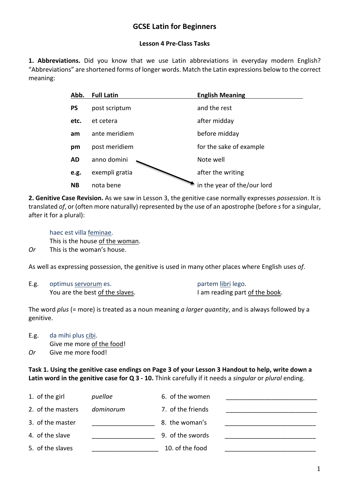# **GCSE Latin for Beginners**

#### **Lesson 4 Pre-Class Tasks**

**1. Abbreviations.** Did you know that we use Latin abbreviations in everyday modern English? "Abbreviations" are shortened forms of longer words. Match the Latin expressions below to the correct meaning:

| Abb.      | <b>Full Latin</b> | <b>English Meaning</b>      |
|-----------|-------------------|-----------------------------|
| PS        | post scriptum     | and the rest                |
| etc.      | et cetera         | after midday                |
| am        | ante meridiem     | before midday               |
| pm        | post meridiem     | for the sake of example     |
| AD        | anno domini       | Note well                   |
| e.g.      | exempli gratia    | after the writing           |
| <b>NB</b> | nota bene         | in the year of the/our lord |

**2. Genitive Case Revision.** As we saw in Lesson 3, the genitive case normally expresses *possession*. It is translated *of*, or (often more naturally) represented by the use of an apostrophe (before *s*for a singular, after it for a plural):

haec est villa feminae.

This is the house of the woman.

*Or* This is the woman's house.

As well as expressing possession, the genitive is used in many other places where English uses *of*.

E.g. optimus servorum es. partem libri lego. You are the best of the slaves. I am reading part of the book.

The word *plus* (= more) is treated as a noun meaning *a larger quantity*, and is always followed by a genitive.

E.g. da mihi plus cibi. Give me more of the food!

*Or* Give me more food!

**Task 1. Using the genitive case endings on Page 3 of your Lesson 3 Handout to help, write down a Latin word in the genitive case for Q 3 - 10.** Think carefully if it needs a *singular* or *plural* ending.

| 1. of the girl    | puellae   | 6. of the women   |  |
|-------------------|-----------|-------------------|--|
| 2. of the masters | dominorum | 7. of the friends |  |
| 3. of the master  |           | 8. the woman's    |  |
| 4. of the slave   |           | 9. of the swords  |  |
| 5. of the slaves  |           | 10. of the food   |  |